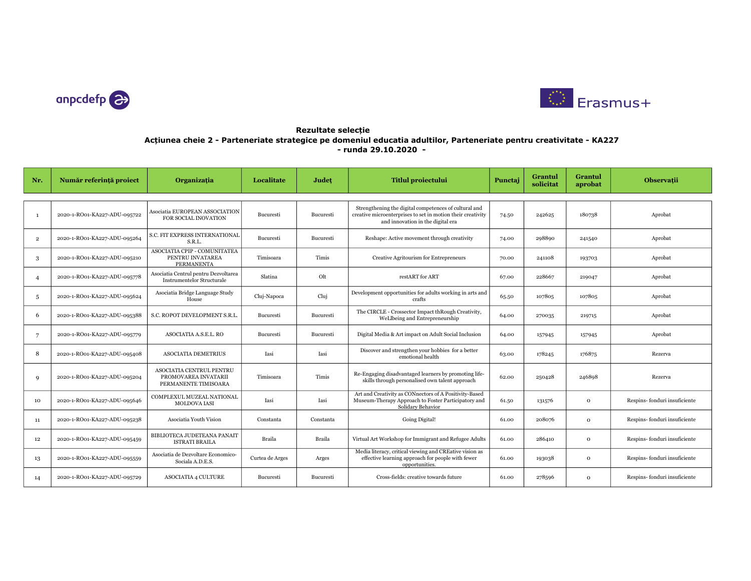



## Rezultate selecție Acțiunea cheie 2 - Parteneriate strategice pe domeniul educatia adultilor, Parteneriate pentru creativitate - KA227 - runda 29.10.2020 -

| Nr.            | Număr referință proiect      | Organizația                                                              | Localitate      | Judet     | <b>Titlul proiectului</b>                                                                                                                                 | Punctaj | Grantul<br>solicitat | Grantul<br>aprobat | <b>Observatii</b>            |
|----------------|------------------------------|--------------------------------------------------------------------------|-----------------|-----------|-----------------------------------------------------------------------------------------------------------------------------------------------------------|---------|----------------------|--------------------|------------------------------|
| $\mathbf{1}$   | 2020-1-RO01-KA227-ADU-095722 | Asociatia EUROPEAN ASSOCIATION<br>FOR SOCIAL INOVATION                   | Bucuresti       | Bucuresti | Strengthening the digital competences of cultural and<br>creative microenterprises to set in motion their creativity<br>and innovation in the digital era | 74.50   | 242625               | 180738             | Aprobat                      |
| $\overline{2}$ | 2020-1-RO01-KA227-ADU-095264 | S.C. FIT EXPRESS INTERNATIONAL<br>S.R.L.                                 | Bucuresti       | Bucuresti | Reshape: Active movement through creativity                                                                                                               | 74.00   | 298890               | 241540             | Aprobat                      |
| 3              | 2020-1-RO01-KA227-ADU-095210 | ASOCIATIA CPIP - COMUNITATEA<br>PENTRU INVATAREA<br><b>PERMANENTA</b>    | Timisoara       | Timis     | Creative Agritourism for Entrepreneurs                                                                                                                    | 70.00   | 241108               | 193703             | Aprobat                      |
| $\overline{4}$ | 2020-1-RO01-KA227-ADU-095778 | Asociatia Centrul pentru Dezvoltarea<br>Instrumentelor Structurale       | Slatina         | Olt       | restART for ART                                                                                                                                           | 67.00   | 228667               | 219047             | Aprobat                      |
| -5             | 2020-1-RO01-KA227-ADU-095624 | Asociatia Bridge Language Study<br>House                                 | Cluj-Napoca     | Cluj      | Development opportunities for adults working in arts and<br>crafts                                                                                        | 65.50   | 107805               | 107805             | Aprobat                      |
| -6             | 2020-1-RO01-KA227-ADU-095388 | S.C. ROPOT DEVELOPMENT S.R.L.                                            | Bucuresti       | Bucuresti | The CIRCLE - Crossector Impact thRough Creativity,<br>WeLlbeing and Entrepreneurship                                                                      | 64.00   | 270035               | 219715             | Aprobat                      |
| 7              | 2020-1-RO01-KA227-ADU-095779 | ASOCIATIA A.S.E.L. RO                                                    | Bucuresti       | Bucuresti | Digital Media & Art impact on Adult Social Inclusion                                                                                                      | 64.00   | 157945               | 157945             | Aprobat                      |
| 8              | 2020-1-RO01-KA227-ADU-095408 | ASOCIATIA DEMETRIUS                                                      | Iasi            | Iasi      | Discover and strengthen your hobbies for a better<br>emotional health                                                                                     | 63.00   | 178245               | 176875             | Rezerva                      |
| Q              | 2020-1-RO01-KA227-ADU-095204 | ASOCIATIA CENTRUL PENTRU<br>PROMOVAREA INVATARII<br>PERMANENTE TIMISOARA | Timisoara       | Timis     | Re-Engaging disadvantaged learners by promoting life-<br>skills through personalised own talent approach                                                  | 62.00   | 250428               | 246898             | Rezerva                      |
| 10             | 2020-1-RO01-KA227-ADU-095646 | COMPLEXUL MUZEAL NATIONAL<br><b>MOLDOVA IASI</b>                         | Iasi            | Iasi      | Art and Creativity as CONnectors of A Positivity-Based<br>Museum-Therapy Approach to Foster Participatory and<br>Solidary Behavior                        | 61.50   | 131576               | $\mathbf{o}$       | Respins-fonduri insuficiente |
| 11             | 2020-1-RO01-KA227-ADU-095238 | Asociatia Youth Vision                                                   | Constanta       | Constanta | Going Digital!                                                                                                                                            | 61.00   | 208076               | $\mathbf{o}$       | Respins-fonduri insuficiente |
| 12             | 2020-1-RO01-KA227-ADU-095459 | BIBLIOTECA JUDETEANA PANAIT<br><b>ISTRATI BRAILA</b>                     | Braila          | Braila    | Virtual Art Workshop for Immigrant and Refugee Adults                                                                                                     | 61.00   | 286410               | $\mathbf{o}$       | Respins-fonduri insuficiente |
| 13             | 2020-1-RO01-KA227-ADU-095559 | Asociatia de Dezvoltare Economico-<br>Sociala A.D.E.S.                   | Curtea de Arges | Arges     | Media literacy, critical viewing and CREative vision as<br>effective learning approach for people with fewer<br>opportunities.                            | 61.00   | 193038               | $\mathbf{o}$       | Respins-fonduri insuficiente |
| 14             | 2020-1-RO01-KA227-ADU-095729 | <b>ASOCIATIA 4 CULTURE</b>                                               | Bucuresti       | Bucuresti | Cross-fields: creative towards future                                                                                                                     | 61.00   | 278596               | $\mathbf{o}$       | Respins-fonduri insuficiente |